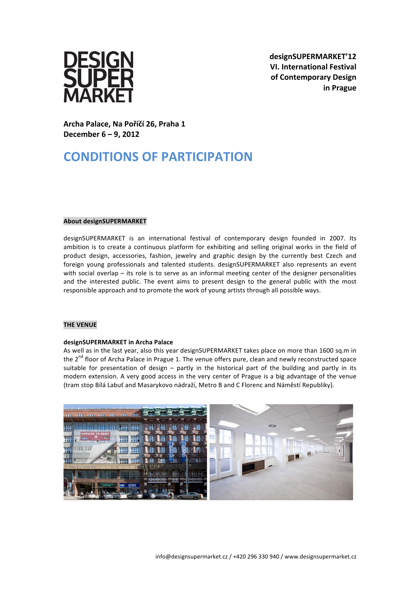

**designSUPERMARKET'12 VI. International Festival of Contemporary Design in Prague**

**Archa Palace, Na Poříčí 26, Praha 1 December 6 – 9, 2012**

# **CONDITIONS OF PARTICIPATION**

## **About designSUPERMARKET**

designSUPERMARKET is an international festival of contemporary design founded in 2007. Its ambition is to create a continuous platform for exhibiting and selling original works in the field of product design, accessories, fashion, jewelry and graphic design by the currently best Czech and foreign young professionals and talented students. designSUPERMARKET also represents an event with social overlap – its role is to serve as an informal meeting center of the designer personalities and the interested public. The event aims to present design to the general public with the most responsible approach and to promote the work of young artists through all possible ways.

## **THE VENUE**

## **designSUPERMARKET in Archa Palace**

As well as in the last year, also this year designSUPERMARKET takes place on more than 1600 sq.m in the  $2<sup>nd</sup>$  floor of Archa Palace in Prague 1. The venue offers pure, clean and newly reconstructed space suitable for presentation of design  $-$  partly in the historical part of the building and partly in its modern extension. A very good access in the very center of Prague is a big advantage of the venue (tram stop Bílá Labuť and Masarykovo nádraží, Metro B and C Florenc and Náměstí Republiky).

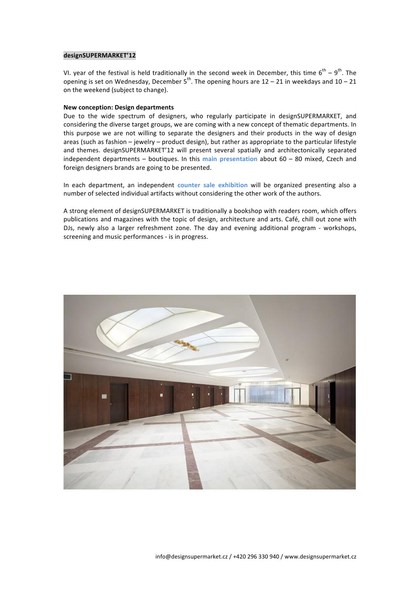## **designSUPERMARKET'12**

VI. year of the festival is held traditionally in the second week in December, this time  $6^\text{th}$  –  $9^\text{th}$ . The opening is set on Wednesday, December  $5^{th}$ . The opening hours are 12 – 21 in weekdays and 10 – 21 on the weekend (subject to change).

#### **New conception: Design departments**

Due to the wide spectrum of designers, who regularly participate in designSUPERMARKET, and considering the diverse target groups, we are coming with a new concept of thematic departments. In this purpose we are not willing to separate the designers and their products in the way of design areas (such as fashion  $-$  jewelry  $-$  product design), but rather as appropriate to the particular lifestyle and themes. designSUPERMARKET'12 will present several spatially and architectonically separated independent departments – boutiques. In this main presentation about 60 – 80 mixed, Czech and foreign designers brands are going to be presented.

In each department, an independent **counter** sale exhibition will be organized presenting also a number of selected individual artifacts without considering the other work of the authors.

A strong element of designSUPERMARKET is traditionally a bookshop with readers room, which offers publications and magazines with the topic of design, architecture and arts. Café, chill out zone with DJs, newly also a larger refreshment zone. The day and evening additional program - workshops, screening and music performances - is in progress.